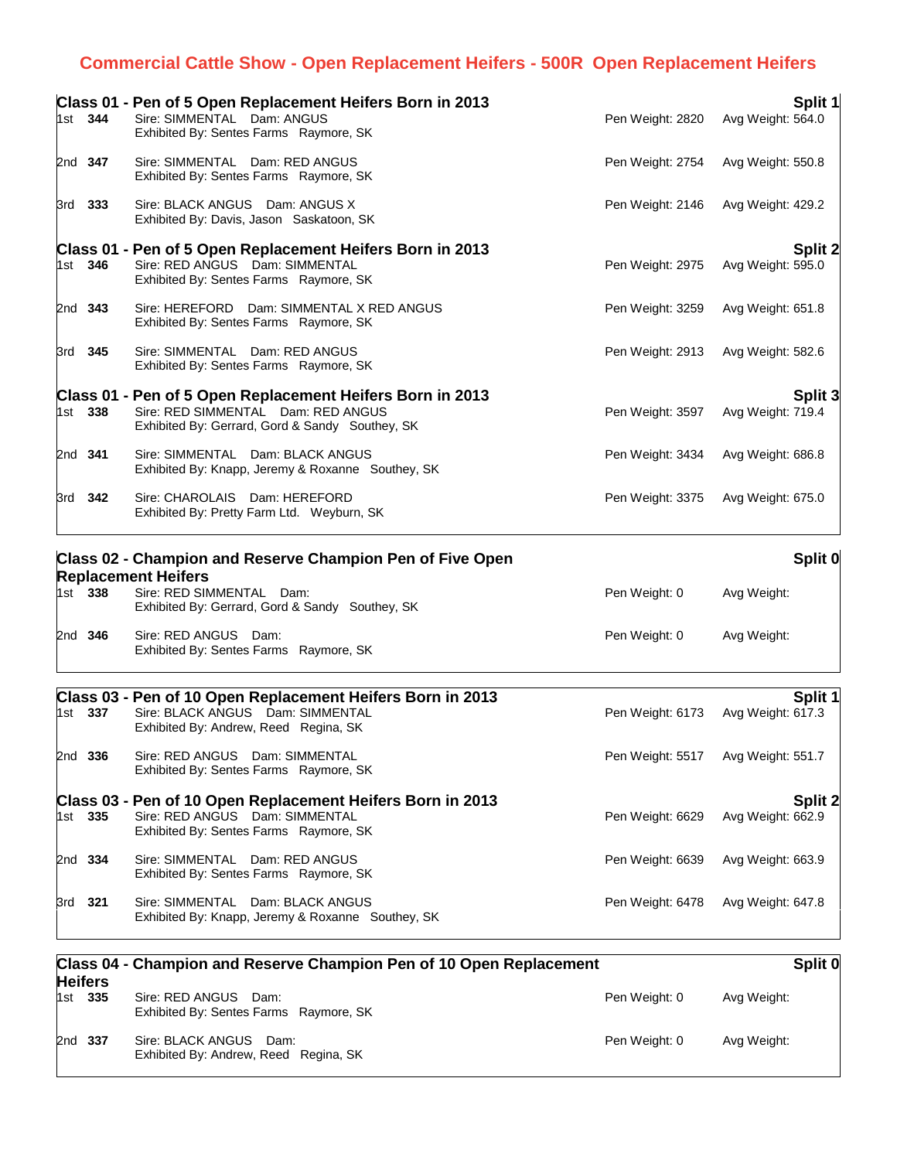## **Commercial Cattle Show - Open Replacement Heifers - 500R Open Replacement Heifers**

|         | Class 01 - Pen of 5 Open Replacement Heifers Born in 2013                             |                  | Split 1           |
|---------|---------------------------------------------------------------------------------------|------------------|-------------------|
| 1st 344 | Sire: SIMMENTAL Dam: ANGUS<br>Exhibited By: Sentes Farms Raymore, SK                  | Pen Weight: 2820 | Avg Weight: 564.0 |
| 2nd 347 | Sire: SIMMENTAL Dam: RED ANGUS<br>Exhibited By: Sentes Farms Raymore, SK              | Pen Weight: 2754 | Avg Weight: 550.8 |
| 3rd 333 | Sire: BLACK ANGUS Dam: ANGUS X<br>Exhibited By: Davis, Jason Saskatoon, SK            | Pen Weight: 2146 | Avg Weight: 429.2 |
|         | Class 01 - Pen of 5 Open Replacement Heifers Born in 2013                             |                  | <b>Split 2</b>    |
| 1st 346 | Sire: RED ANGUS Dam: SIMMENTAL<br>Exhibited By: Sentes Farms Raymore, SK              | Pen Weight: 2975 | Avg Weight: 595.0 |
| 2nd 343 | Sire: HEREFORD Dam: SIMMENTAL X RED ANGUS<br>Exhibited By: Sentes Farms Raymore, SK   | Pen Weight: 3259 | Avg Weight: 651.8 |
| 3rd 345 | Sire: SIMMENTAL Dam: RED ANGUS<br>Exhibited By: Sentes Farms Raymore, SK              | Pen Weight: 2913 | Avg Weight: 582.6 |
|         | Class 01 - Pen of 5 Open Replacement Heifers Born in 2013                             |                  | Split 3           |
| 1st 338 | Sire: RED SIMMENTAL Dam: RED ANGUS<br>Exhibited By: Gerrard, Gord & Sandy Southey, SK | Pen Weight: 3597 | Avg Weight: 719.4 |
| 2nd 341 | Sire: SIMMENTAL Dam: BLACK ANGUS<br>Exhibited By: Knapp, Jeremy & Roxanne Southey, SK | Pen Weight: 3434 | Avg Weight: 686.8 |
| 3rd 342 | Sire: CHAROLAIS Dam: HEREFORD<br>Exhibited By: Pretty Farm Ltd. Weyburn, SK           | Pen Weight: 3375 | Avg Weight: 675.0 |
|         | Class 02 - Champion and Reserve Champion Pen of Five Open                             |                  | Split 0           |

| <b>Replacement Heifers</b> |         |                                                                             |               |             |  |
|----------------------------|---------|-----------------------------------------------------------------------------|---------------|-------------|--|
|                            | 1st 338 | Sire: RED SIMMENTAL Dam:<br>Exhibited By: Gerrard, Gord & Sandy Southey, SK | Pen Weight: 0 | Avg Weight: |  |
| 2nd 346                    |         | Sire: RED ANGUS Dam:<br>Exhibited By: Sentes Farms Raymore, SK              | Pen Weight: 0 | Avg Weight: |  |

|         | Class 03 - Pen of 10 Open Replacement Heifers Born in 2013                            |                  | Split 1           |
|---------|---------------------------------------------------------------------------------------|------------------|-------------------|
| 1st 337 | Sire: BLACK ANGUS Dam: SIMMENTAL<br>Exhibited By: Andrew, Reed Regina, SK             | Pen Weight: 6173 | Avg Weight: 617.3 |
| 2nd 336 | Sire: RED ANGUS Dam: SIMMENTAL<br>Exhibited By: Sentes Farms Raymore, SK              | Pen Weight: 5517 | Avg Weight: 551.7 |
|         | Class 03 - Pen of 10 Open Replacement Heifers Born in 2013                            |                  | Split 2           |
| 1st 335 | Sire: RED ANGUS Dam: SIMMENTAL<br>Exhibited By: Sentes Farms Raymore, SK              | Pen Weight: 6629 | Avg Weight: 662.9 |
| 2nd 334 | Sire: SIMMENTAL Dam: RED ANGUS<br>Exhibited By: Sentes Farms Raymore, SK              | Pen Weight: 6639 | Avg Weight: 663.9 |
| 3rd 321 | Sire: SIMMENTAL Dam: BLACK ANGUS<br>Exhibited By: Knapp, Jeremy & Roxanne Southey, SK | Pen Weight: 6478 | Avg Weight: 647.8 |

| Class 04 - Champion and Reserve Champion Pen of 10 Open Replacement<br><b>Heifers</b> |         |                                                                    |               | Split 0     |  |
|---------------------------------------------------------------------------------------|---------|--------------------------------------------------------------------|---------------|-------------|--|
|                                                                                       | 1st 335 | Sire: RED ANGUS Dam:<br>Exhibited By: Sentes Farms Raymore, SK     | Pen Weight: 0 | Avg Weight: |  |
|                                                                                       | 2nd 337 | Sire: BLACK ANGUS<br>Dam:<br>Exhibited By: Andrew, Reed Regina, SK | Pen Weight: 0 | Avg Weight: |  |